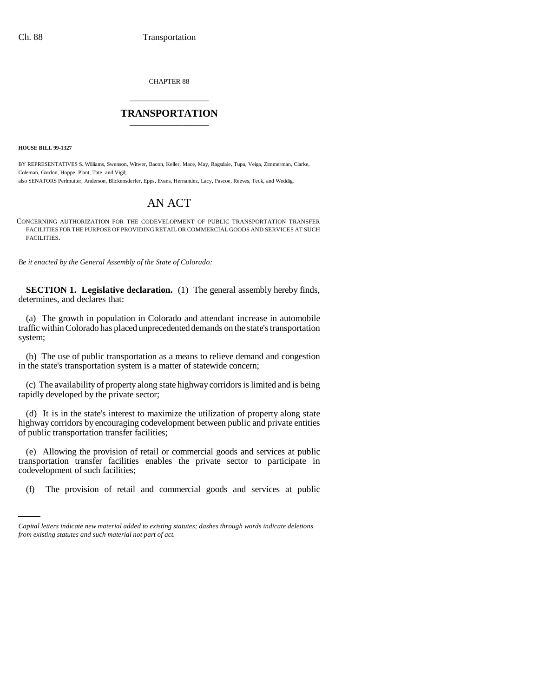CHAPTER 88 \_\_\_\_\_\_\_\_\_\_\_\_\_\_\_

## **TRANSPORTATION** \_\_\_\_\_\_\_\_\_\_\_\_\_\_\_

**HOUSE BILL 99-1327** 

BY REPRESENTATIVES S. Williams, Swenson, Witwer, Bacon, Keller, Mace, May, Ragsdale, Tupa, Veiga, Zimmerman, Clarke, Coleman, Gordon, Hoppe, Plant, Tate, and Vigil;

also SENATORS Perlmutter, Anderson, Blickensderfer, Epps, Evans, Hernandez, Lacy, Pascoe, Reeves, Teck, and Weddig.

# AN ACT

CONCERNING AUTHORIZATION FOR THE CODEVELOPMENT OF PUBLIC TRANSPORTATION TRANSFER FACILITIES FOR THE PURPOSE OF PROVIDING RETAIL OR COMMERCIAL GOODS AND SERVICES AT SUCH FACILITIES.

*Be it enacted by the General Assembly of the State of Colorado:*

**SECTION 1. Legislative declaration.** (1) The general assembly hereby finds, determines, and declares that:

(a) The growth in population in Colorado and attendant increase in automobile traffic within Colorado has placed unprecedented demands on the state's transportation system;

(b) The use of public transportation as a means to relieve demand and congestion in the state's transportation system is a matter of statewide concern;

(c) The availability of property along state highway corridors is limited and is being rapidly developed by the private sector;

(d) It is in the state's interest to maximize the utilization of property along state highway corridors by encouraging codevelopment between public and private entities of public transportation transfer facilities;

codevelopment of such facilities; (e) Allowing the provision of retail or commercial goods and services at public transportation transfer facilities enables the private sector to participate in

(f) The provision of retail and commercial goods and services at public

*Capital letters indicate new material added to existing statutes; dashes through words indicate deletions from existing statutes and such material not part of act.*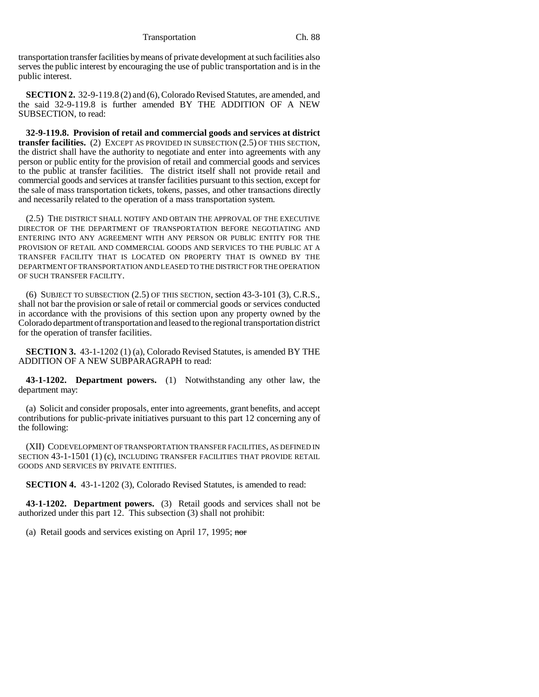transportation transfer facilities by means of private development at such facilities also serves the public interest by encouraging the use of public transportation and is in the public interest.

**SECTION 2.** 32-9-119.8 (2) and (6), Colorado Revised Statutes, are amended, and the said 32-9-119.8 is further amended BY THE ADDITION OF A NEW SUBSECTION, to read:

**32-9-119.8. Provision of retail and commercial goods and services at district transfer facilities.** (2) EXCEPT AS PROVIDED IN SUBSECTION (2.5) OF THIS SECTION, the district shall have the authority to negotiate and enter into agreements with any person or public entity for the provision of retail and commercial goods and services to the public at transfer facilities. The district itself shall not provide retail and commercial goods and services at transfer facilities pursuant to this section, except for the sale of mass transportation tickets, tokens, passes, and other transactions directly and necessarily related to the operation of a mass transportation system.

(2.5) THE DISTRICT SHALL NOTIFY AND OBTAIN THE APPROVAL OF THE EXECUTIVE DIRECTOR OF THE DEPARTMENT OF TRANSPORTATION BEFORE NEGOTIATING AND ENTERING INTO ANY AGREEMENT WITH ANY PERSON OR PUBLIC ENTITY FOR THE PROVISION OF RETAIL AND COMMERCIAL GOODS AND SERVICES TO THE PUBLIC AT A TRANSFER FACILITY THAT IS LOCATED ON PROPERTY THAT IS OWNED BY THE DEPARTMENT OF TRANSPORTATION AND LEASED TO THE DISTRICT FOR THE OPERATION OF SUCH TRANSFER FACILITY.

(6) SUBJECT TO SUBSECTION (2.5) OF THIS SECTION, section 43-3-101 (3), C.R.S., shall not bar the provision or sale of retail or commercial goods or services conducted in accordance with the provisions of this section upon any property owned by the Colorado department of transportation and leased to the regional transportation district for the operation of transfer facilities.

**SECTION 3.** 43-1-1202 (1) (a), Colorado Revised Statutes, is amended BY THE ADDITION OF A NEW SUBPARAGRAPH to read:

**43-1-1202. Department powers.** (1) Notwithstanding any other law, the department may:

(a) Solicit and consider proposals, enter into agreements, grant benefits, and accept contributions for public-private initiatives pursuant to this part 12 concerning any of the following:

(XII) CODEVELOPMENT OF TRANSPORTATION TRANSFER FACILITIES, AS DEFINED IN SECTION 43-1-1501 (1) (c), INCLUDING TRANSFER FACILITIES THAT PROVIDE RETAIL GOODS AND SERVICES BY PRIVATE ENTITIES.

**SECTION 4.** 43-1-1202 (3), Colorado Revised Statutes, is amended to read:

**43-1-1202. Department powers.** (3) Retail goods and services shall not be authorized under this part 12. This subsection (3) shall not prohibit:

(a) Retail goods and services existing on April 17, 1995; nor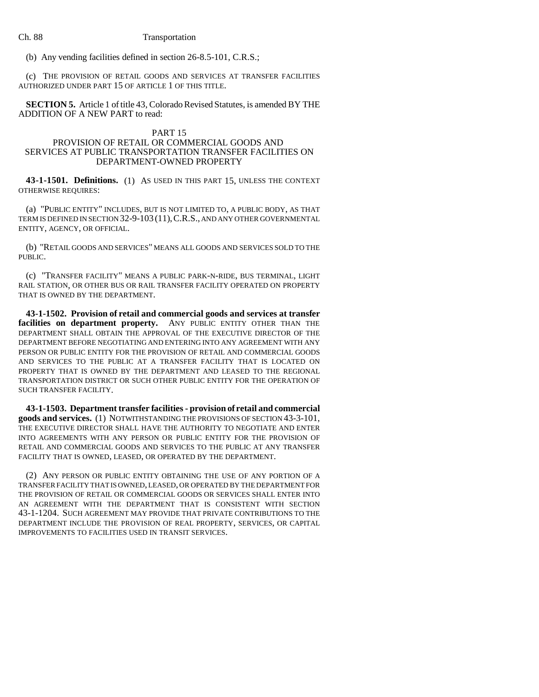#### Ch. 88 Transportation

(b) Any vending facilities defined in section 26-8.5-101, C.R.S.;

(c) THE PROVISION OF RETAIL GOODS AND SERVICES AT TRANSFER FACILITIES AUTHORIZED UNDER PART 15 OF ARTICLE 1 OF THIS TITLE.

**SECTION 5.** Article 1 of title 43, Colorado Revised Statutes, is amended BY THE ADDITION OF A NEW PART to read:

#### PART 15

### PROVISION OF RETAIL OR COMMERCIAL GOODS AND SERVICES AT PUBLIC TRANSPORTATION TRANSFER FACILITIES ON DEPARTMENT-OWNED PROPERTY

**43-1-1501. Definitions.** (1) AS USED IN THIS PART 15, UNLESS THE CONTEXT OTHERWISE REQUIRES:

(a) "PUBLIC ENTITY" INCLUDES, BUT IS NOT LIMITED TO, A PUBLIC BODY, AS THAT TERM IS DEFINED IN SECTION 32-9-103 (11),C.R.S., AND ANY OTHER GOVERNMENTAL ENTITY, AGENCY, OR OFFICIAL.

(b) "RETAIL GOODS AND SERVICES" MEANS ALL GOODS AND SERVICES SOLD TO THE PUBLIC.

(c) "TRANSFER FACILITY" MEANS A PUBLIC PARK-N-RIDE, BUS TERMINAL, LIGHT RAIL STATION, OR OTHER BUS OR RAIL TRANSFER FACILITY OPERATED ON PROPERTY THAT IS OWNED BY THE DEPARTMENT.

**43-1-1502. Provision of retail and commercial goods and services at transfer facilities on department property.** ANY PUBLIC ENTITY OTHER THAN THE DEPARTMENT SHALL OBTAIN THE APPROVAL OF THE EXECUTIVE DIRECTOR OF THE DEPARTMENT BEFORE NEGOTIATING AND ENTERING INTO ANY AGREEMENT WITH ANY PERSON OR PUBLIC ENTITY FOR THE PROVISION OF RETAIL AND COMMERCIAL GOODS AND SERVICES TO THE PUBLIC AT A TRANSFER FACILITY THAT IS LOCATED ON PROPERTY THAT IS OWNED BY THE DEPARTMENT AND LEASED TO THE REGIONAL TRANSPORTATION DISTRICT OR SUCH OTHER PUBLIC ENTITY FOR THE OPERATION OF SUCH TRANSFER FACILITY.

**43-1-1503. Department transfer facilities - provision of retail and commercial goods and services.** (1) NOTWITHSTANDING THE PROVISIONS OF SECTION 43-3-101, THE EXECUTIVE DIRECTOR SHALL HAVE THE AUTHORITY TO NEGOTIATE AND ENTER INTO AGREEMENTS WITH ANY PERSON OR PUBLIC ENTITY FOR THE PROVISION OF RETAIL AND COMMERCIAL GOODS AND SERVICES TO THE PUBLIC AT ANY TRANSFER FACILITY THAT IS OWNED, LEASED, OR OPERATED BY THE DEPARTMENT.

(2) ANY PERSON OR PUBLIC ENTITY OBTAINING THE USE OF ANY PORTION OF A TRANSFER FACILITY THAT IS OWNED, LEASED, OR OPERATED BY THE DEPARTMENT FOR THE PROVISION OF RETAIL OR COMMERCIAL GOODS OR SERVICES SHALL ENTER INTO AN AGREEMENT WITH THE DEPARTMENT THAT IS CONSISTENT WITH SECTION 43-1-1204. SUCH AGREEMENT MAY PROVIDE THAT PRIVATE CONTRIBUTIONS TO THE DEPARTMENT INCLUDE THE PROVISION OF REAL PROPERTY, SERVICES, OR CAPITAL IMPROVEMENTS TO FACILITIES USED IN TRANSIT SERVICES.